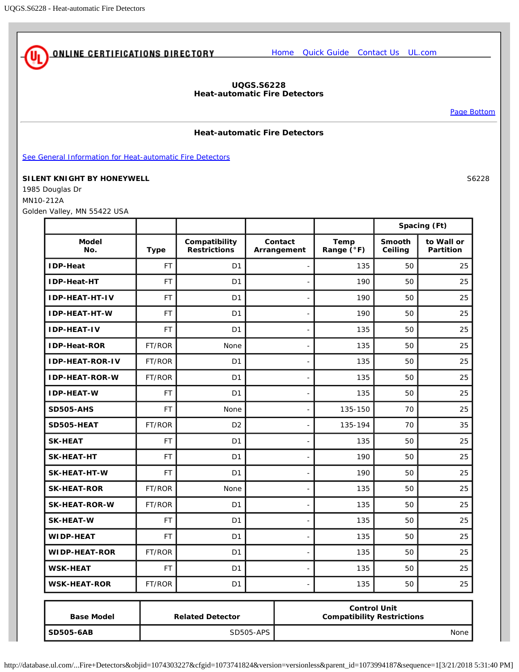<span id="page-0-0"></span>

## **UQGS.S6228 Heat-automatic Fire Detectors**

[Page Bottom](#page-1-0)

## **Heat-automatic Fire Detectors**

[See General Information for Heat-automatic Fire Detectors](http://database.ul.com/cgi-bin/XYV/template/LISEXT/1FRAME/showpage.html?&name=UQGS.GuideInfo&ccnshorttitle=Heat-automatic+Fire+Detectors&objid=1074303128&cfgid=1073741824&version=versionless&parent_id=1073994187&sequence=1)

## **SILENT KNIGHT BY HONEYWELL** SEE AND SEE A SAME SEE A SAFETY SEE A SAFETY SEE A SAFETY SEE A SAFETY SEE A SAFETY S

1985 Douglas Dr MN10-212A Golden Valley, MN 55422 USA

|                        |             |                                      |                        | Spacing (Ft)                                             |                          |                                |
|------------------------|-------------|--------------------------------------|------------------------|----------------------------------------------------------|--------------------------|--------------------------------|
| <b>Model</b><br>No.    | <b>Type</b> | Compatibility<br><b>Restrictions</b> | Contact<br>Arrangement | Temp<br>Range (°F)                                       | <b>Smooth</b><br>Ceiling | to Wall or<br><b>Partition</b> |
| <b>IDP-Heat</b>        | <b>FT</b>   | D <sub>1</sub>                       |                        | 135                                                      | 50                       | 25                             |
| <b>IDP-Heat-HT</b>     | <b>FT</b>   | D <sub>1</sub>                       |                        | 190                                                      | 50                       | 25                             |
| <b>IDP-HEAT-HT-IV</b>  | FT          | D <sub>1</sub>                       |                        | 190                                                      | 50                       | 25                             |
| <b>IDP-HEAT-HT-W</b>   | <b>FT</b>   | D <sub>1</sub>                       |                        | 190                                                      | 50                       | 25                             |
| <b>IDP-HEAT-IV</b>     | <b>FT</b>   | D <sub>1</sub>                       |                        | 135                                                      | 50                       | 25                             |
| <b>IDP-Heat-ROR</b>    | FT/ROR      | None                                 |                        | 135                                                      | 50                       | 25                             |
| <b>IDP-HEAT-ROR-IV</b> | FT/ROR      | D <sub>1</sub>                       |                        | 135                                                      | 50                       | 25                             |
| <b>IDP-HEAT-ROR-W</b>  | FT/ROR      | D <sub>1</sub>                       |                        | 135                                                      | 50                       | 25                             |
| <b>IDP-HEAT-W</b>      | <b>FT</b>   | D <sub>1</sub>                       |                        | 135                                                      | 50                       | 25                             |
| <b>SD505-AHS</b>       | <b>FT</b>   | None                                 |                        | 135-150                                                  | 70                       | 25                             |
| SD505-HEAT             | FT/ROR      | D <sub>2</sub>                       |                        | 135-194                                                  | 70                       | 35                             |
| <b>SK-HEAT</b>         | <b>FT</b>   | D <sub>1</sub>                       |                        | 135                                                      | 50                       | 25                             |
| <b>SK-HEAT-HT</b>      | <b>FT</b>   | D <sub>1</sub>                       |                        | 190                                                      | 50                       | 25                             |
| <b>SK-HEAT-HT-W</b>    | <b>FT</b>   | D <sub>1</sub>                       |                        | 190                                                      | 50                       | 25                             |
| <b>SK-HEAT-ROR</b>     | FT/ROR      | None                                 |                        | 135                                                      | 50                       | 25                             |
| <b>SK-HEAT-ROR-W</b>   | FT/ROR      | D <sub>1</sub>                       |                        | 135                                                      | 50                       | 25                             |
| <b>SK-HEAT-W</b>       | <b>FT</b>   | D <sub>1</sub>                       |                        | 135                                                      | 50                       | 25                             |
| <b>WIDP-HEAT</b>       | <b>FT</b>   | D <sub>1</sub>                       |                        | 135                                                      | 50                       | 25                             |
| <b>WIDP-HEAT-ROR</b>   | FT/ROR      | D <sub>1</sub>                       |                        | 135                                                      | 50                       | 25                             |
| <b>WSK-HEAT</b>        | <b>FT</b>   | D <sub>1</sub>                       |                        | 135                                                      | 50                       | 25                             |
| <b>WSK-HEAT-ROR</b>    | FT/ROR      | D <sub>1</sub>                       |                        | 135                                                      | 50                       | 25                             |
| <b>Base Model</b>      |             | <b>Related Detector</b>              |                        | <b>Control Unit</b><br><b>Compatibility Restrictions</b> |                          |                                |
| <b>SD505-6AB</b>       |             |                                      | <b>SD505-APS</b>       | None                                                     |                          |                                |